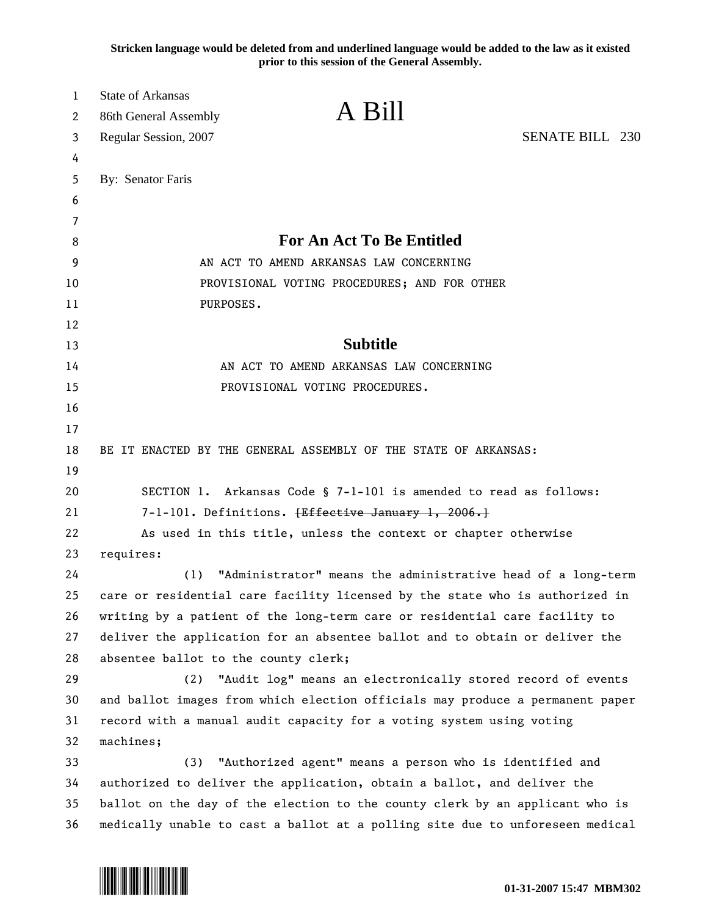**Stricken language would be deleted from and underlined language would be added to the law as it existed prior to this session of the General Assembly.**

| 1<br>2 | <b>State of Arkansas</b><br>86th General Assembly                             | A Bill                                                            |                        |
|--------|-------------------------------------------------------------------------------|-------------------------------------------------------------------|------------------------|
|        |                                                                               |                                                                   | <b>SENATE BILL 230</b> |
| 3      | Regular Session, 2007                                                         |                                                                   |                        |
| 4<br>5 | By: Senator Faris                                                             |                                                                   |                        |
| 6      |                                                                               |                                                                   |                        |
| 7      |                                                                               |                                                                   |                        |
| 8      |                                                                               | <b>For An Act To Be Entitled</b>                                  |                        |
| 9      |                                                                               | AN ACT TO AMEND ARKANSAS LAW CONCERNING                           |                        |
| 10     |                                                                               | PROVISIONAL VOTING PROCEDURES; AND FOR OTHER                      |                        |
| 11     | PURPOSES.                                                                     |                                                                   |                        |
| 12     |                                                                               |                                                                   |                        |
| 13     |                                                                               | <b>Subtitle</b>                                                   |                        |
| 14     |                                                                               | AN ACT TO AMEND ARKANSAS LAW CONCERNING                           |                        |
| 15     |                                                                               | PROVISIONAL VOTING PROCEDURES.                                    |                        |
| 16     |                                                                               |                                                                   |                        |
| 17     |                                                                               |                                                                   |                        |
| 18     | BE IT ENACTED BY THE GENERAL ASSEMBLY OF THE STATE OF ARKANSAS:               |                                                                   |                        |
| 19     |                                                                               |                                                                   |                        |
| 20     |                                                                               | SECTION 1. Arkansas Code § 7-1-101 is amended to read as follows: |                        |
| 21     |                                                                               | 7-1-101. Definitions. <del>[Effective January 1, 2006.]</del>     |                        |
| 22     |                                                                               | As used in this title, unless the context or chapter otherwise    |                        |
| 23     | requires:                                                                     |                                                                   |                        |
| 24     | (1)                                                                           | "Administrator" means the administrative head of a long-term      |                        |
| 25     | care or residential care facility licensed by the state who is authorized in  |                                                                   |                        |
| 26     | writing by a patient of the long-term care or residential care facility to    |                                                                   |                        |
| 27     | deliver the application for an absentee ballot and to obtain or deliver the   |                                                                   |                        |
| 28     | absentee ballot to the county clerk;                                          |                                                                   |                        |
| 29     | (2)                                                                           | "Audit log" means an electronically stored record of events       |                        |
| 30     | and ballot images from which election officials may produce a permanent paper |                                                                   |                        |
| 31     | record with a manual audit capacity for a voting system using voting          |                                                                   |                        |
| 32     | machines;                                                                     |                                                                   |                        |
| 33     | (3)                                                                           | "Authorized agent" means a person who is identified and           |                        |
| 34     | authorized to deliver the application, obtain a ballot, and deliver the       |                                                                   |                        |
| 35     | ballot on the day of the election to the county clerk by an applicant who is  |                                                                   |                        |
| 36     | medically unable to cast a ballot at a polling site due to unforeseen medical |                                                                   |                        |

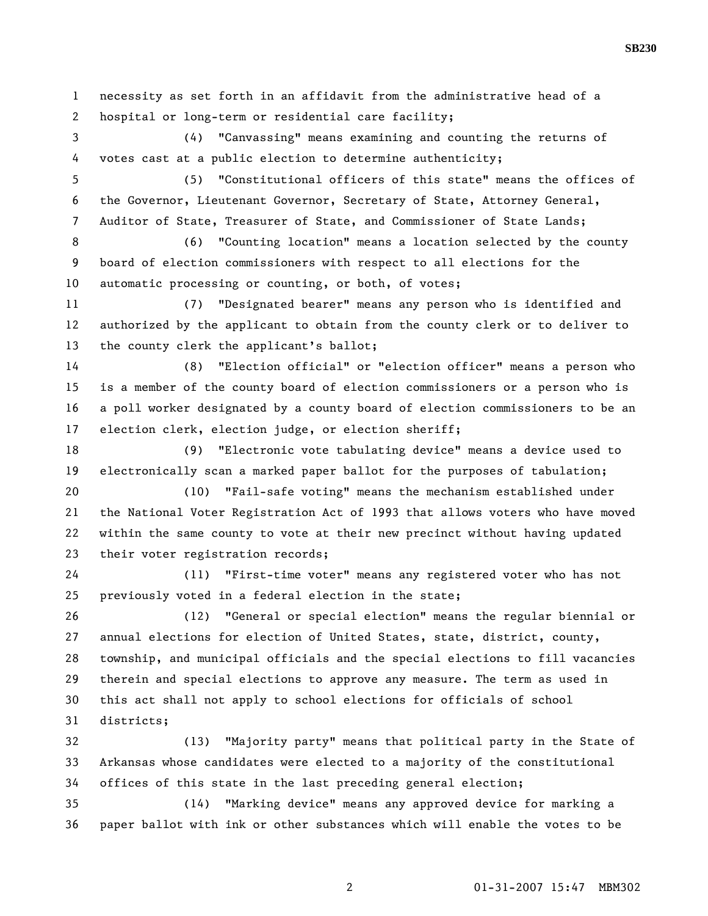1 necessity as set forth in an affidavit from the administrative head of a 2 hospital or long-term or residential care facility;

3 (4) "Canvassing" means examining and counting the returns of 4 votes cast at a public election to determine authenticity;

5 (5) "Constitutional officers of this state" means the offices of 6 the Governor, Lieutenant Governor, Secretary of State, Attorney General, 7 Auditor of State, Treasurer of State, and Commissioner of State Lands;

8 (6) "Counting location" means a location selected by the county 9 board of election commissioners with respect to all elections for the 10 automatic processing or counting, or both, of votes;

11 (7) "Designated bearer" means any person who is identified and 12 authorized by the applicant to obtain from the county clerk or to deliver to 13 the county clerk the applicant's ballot;

14 (8) "Election official" or "election officer" means a person who 15 is a member of the county board of election commissioners or a person who is 16 a poll worker designated by a county board of election commissioners to be an 17 election clerk, election judge, or election sheriff;

18 (9) "Electronic vote tabulating device" means a device used to 19 electronically scan a marked paper ballot for the purposes of tabulation;

20 (10) "Fail-safe voting" means the mechanism established under 21 the National Voter Registration Act of 1993 that allows voters who have moved 22 within the same county to vote at their new precinct without having updated 23 their voter registration records;

24 (11) "First-time voter" means any registered voter who has not 25 previously voted in a federal election in the state;

26 (12) "General or special election" means the regular biennial or 27 annual elections for election of United States, state, district, county, 28 township, and municipal officials and the special elections to fill vacancies 29 therein and special elections to approve any measure. The term as used in 30 this act shall not apply to school elections for officials of school 31 districts;

32 (13) "Majority party" means that political party in the State of 33 Arkansas whose candidates were elected to a majority of the constitutional 34 offices of this state in the last preceding general election;

35 (14) "Marking device" means any approved device for marking a 36 paper ballot with ink or other substances which will enable the votes to be

2 01-31-2007 15:47 MBM302

**SB230**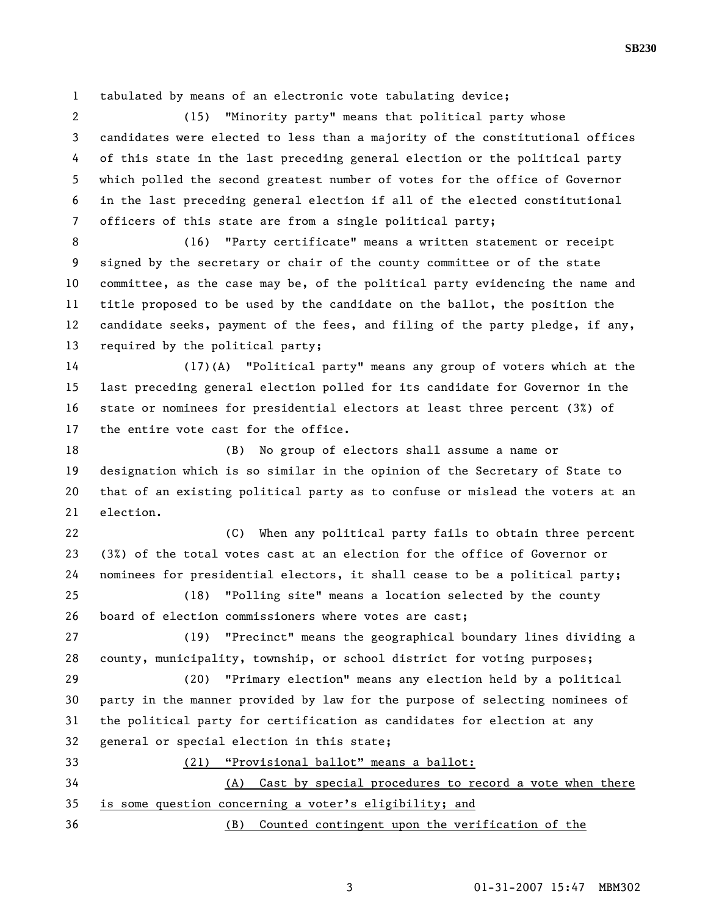1 tabulated by means of an electronic vote tabulating device;

2 (15) "Minority party" means that political party whose 3 candidates were elected to less than a majority of the constitutional offices 4 of this state in the last preceding general election or the political party 5 which polled the second greatest number of votes for the office of Governor 6 in the last preceding general election if all of the elected constitutional 7 officers of this state are from a single political party;

8 (16) "Party certificate" means a written statement or receipt 9 signed by the secretary or chair of the county committee or of the state 10 committee, as the case may be, of the political party evidencing the name and 11 title proposed to be used by the candidate on the ballot, the position the 12 candidate seeks, payment of the fees, and filing of the party pledge, if any, 13 required by the political party;

14 (17)(A) "Political party" means any group of voters which at the 15 last preceding general election polled for its candidate for Governor in the 16 state or nominees for presidential electors at least three percent (3%) of 17 the entire vote cast for the office.

18 (B) No group of electors shall assume a name or 19 designation which is so similar in the opinion of the Secretary of State to 20 that of an existing political party as to confuse or mislead the voters at an 21 election.

22 (C) When any political party fails to obtain three percent 23 (3%) of the total votes cast at an election for the office of Governor or 24 nominees for presidential electors, it shall cease to be a political party;

25 (18) "Polling site" means a location selected by the county 26 board of election commissioners where votes are cast;

27 (19) "Precinct" means the geographical boundary lines dividing a 28 county, municipality, township, or school district for voting purposes;

29 (20) "Primary election" means any election held by a political 30 party in the manner provided by law for the purpose of selecting nominees of 31 the political party for certification as candidates for election at any 32 general or special election in this state;

33 (21) "Provisional ballot" means a ballot:

34 (A) Cast by special procedures to record a vote when there 35 is some question concerning a voter's eligibility; and

36 (B) Counted contingent upon the verification of the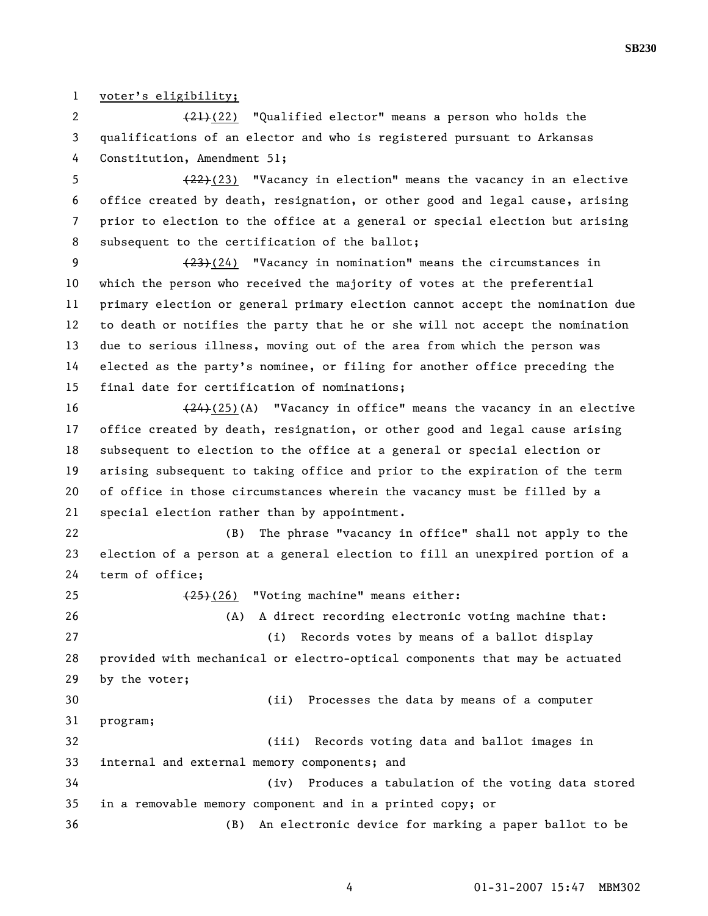1 voter's eligibility;

2 (21)(22) "Qualified elector" means a person who holds the 3 qualifications of an elector and who is registered pursuant to Arkansas 4 Constitution, Amendment 51;

5  $(22)(23)$  "Vacancy in election" means the vacancy in an elective 6 office created by death, resignation, or other good and legal cause, arising 7 prior to election to the office at a general or special election but arising 8 subsequent to the certification of the ballot;

9 (23)(24) "Vacancy in nomination" means the circumstances in 10 which the person who received the majority of votes at the preferential 11 primary election or general primary election cannot accept the nomination due 12 to death or notifies the party that he or she will not accept the nomination 13 due to serious illness, moving out of the area from which the person was 14 elected as the party's nominee, or filing for another office preceding the 15 final date for certification of nominations;

16 (24)(25)(A) "Vacancy in office" means the vacancy in an elective 17 office created by death, resignation, or other good and legal cause arising 18 subsequent to election to the office at a general or special election or 19 arising subsequent to taking office and prior to the expiration of the term 20 of office in those circumstances wherein the vacancy must be filled by a 21 special election rather than by appointment.

22 (B) The phrase "vacancy in office" shall not apply to the 23 election of a person at a general election to fill an unexpired portion of a 24 term of office;

25 (25)(26) "Voting machine" means either: 26 (A) A direct recording electronic voting machine that: 27 (i) Records votes by means of a ballot display 28 provided with mechanical or electro-optical components that may be actuated 29 by the voter; 30 (ii) Processes the data by means of a computer 31 program; 32 (iii) Records voting data and ballot images in 33 internal and external memory components; and 34 (iv) Produces a tabulation of the voting data stored 35 in a removable memory component and in a printed copy; or 36 (B) An electronic device for marking a paper ballot to be

4 01-31-2007 15:47 MBM302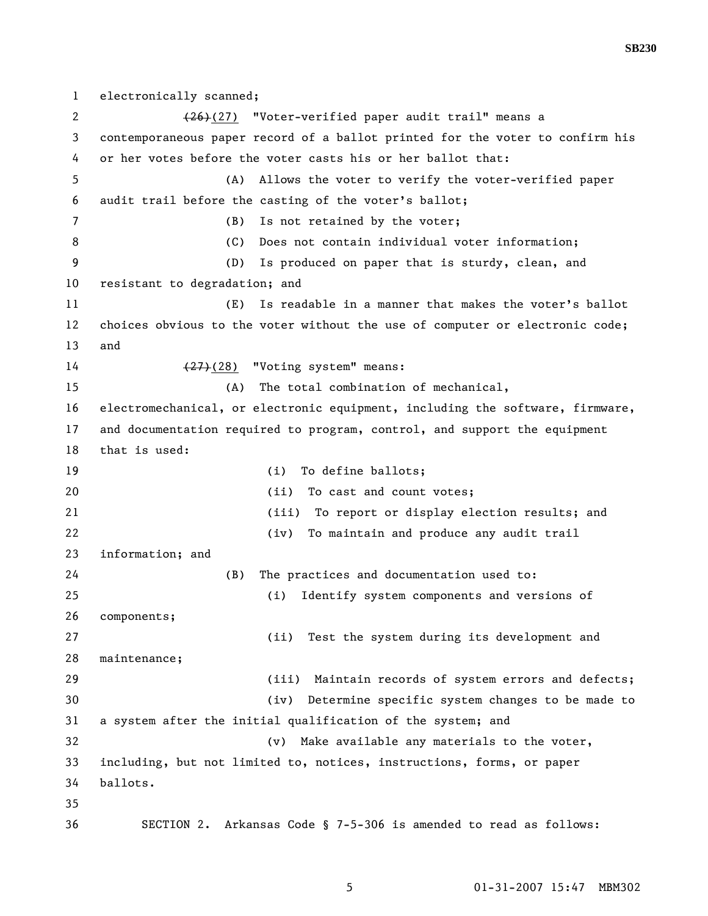**SB230** 

2 (26)(27) "Voter-verified paper audit trail" means a 3 contemporaneous paper record of a ballot printed for the voter to confirm his 4 or her votes before the voter casts his or her ballot that: 5 (A) Allows the voter to verify the voter-verified paper 6 audit trail before the casting of the voter's ballot; 7 (B) Is not retained by the voter; 8 (C) Does not contain individual voter information; 9 (D) Is produced on paper that is sturdy, clean, and 10 resistant to degradation; and 11 (E) Is readable in a manner that makes the voter's ballot 12 choices obvious to the voter without the use of computer or electronic code; 13 and 14 (27)(28) "Voting system" means: 15 (A) The total combination of mechanical, 16 electromechanical, or electronic equipment, including the software, firmware, 17 and documentation required to program, control, and support the equipment 18 that is used: 19 (i) To define ballots; 20 (ii) To cast and count votes; 21 (iii) To report or display election results; and 22 (iv) To maintain and produce any audit trail 23 information; and 24 (B) The practices and documentation used to: 25 (i) Identify system components and versions of 26 components; 27 (ii) Test the system during its development and 28 maintenance; 29 (iii) Maintain records of system errors and defects; 30 (iv) Determine specific system changes to be made to 31 a system after the initial qualification of the system; and 32 (v) Make available any materials to the voter, 33 including, but not limited to, notices, instructions, forms, or paper 34 ballots. 35 36 SECTION 2. Arkansas Code § 7-5-306 is amended to read as follows:

1 electronically scanned;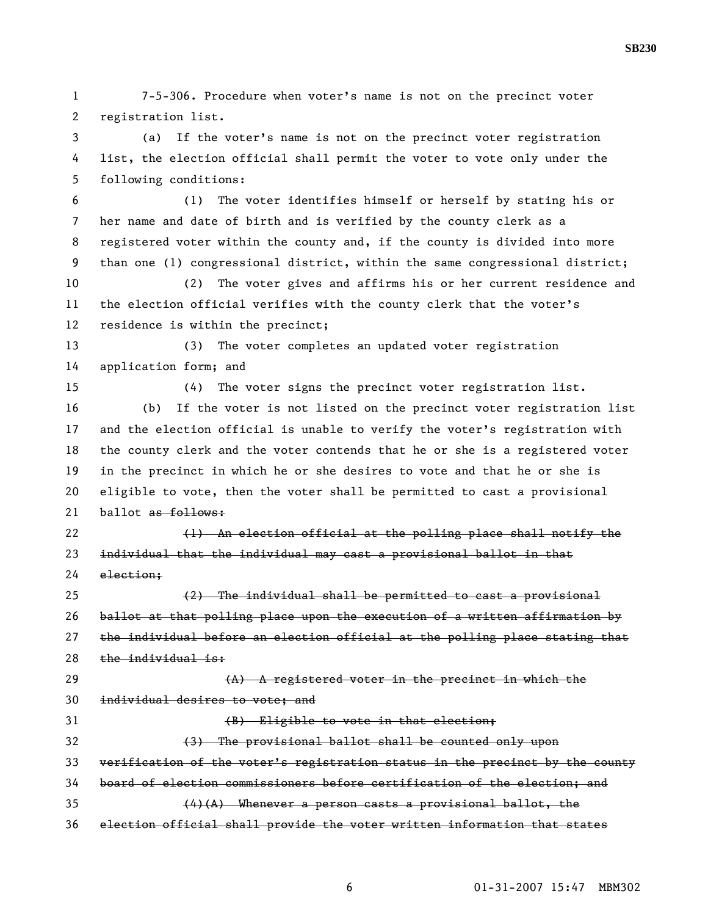1 7-5-306. Procedure when voter's name is not on the precinct voter 2 registration list. 3 (a) If the voter's name is not on the precinct voter registration 4 list, the election official shall permit the voter to vote only under the 5 following conditions: 6 (1) The voter identifies himself or herself by stating his or 7 her name and date of birth and is verified by the county clerk as a 8 registered voter within the county and, if the county is divided into more 9 than one (1) congressional district, within the same congressional district; 10 (2) The voter gives and affirms his or her current residence and 11 the election official verifies with the county clerk that the voter's 12 residence is within the precinct; 13 (3) The voter completes an updated voter registration 14 application form; and 15 (4) The voter signs the precinct voter registration list. 16 (b) If the voter is not listed on the precinct voter registration list 17 and the election official is unable to verify the voter's registration with 18 the county clerk and the voter contends that he or she is a registered voter 19 in the precinct in which he or she desires to vote and that he or she is 20 eligible to vote, then the voter shall be permitted to cast a provisional 21 ballot as follows: 22 (1) An election official at the polling place shall notify the 23 individual that the individual may cast a provisional ballot in that 24 election; 25 (2) The individual shall be permitted to cast a provisional 26 ballot at that polling place upon the execution of a written affirmation by 27 the individual before an election official at the polling place stating that 28 the individual is: 29  $(A)$  A registered voter in the precinct in which the 30 individual desires to vote; and 31 (B) Eligible to vote in that election; 32 (3) The provisional ballot shall be counted only upon 33 verification of the voter's registration status in the precinct by the county 34 board of election commissioners before certification of the election; and 35  $(4)(A)$  Whenever a person casts a provisional ballot, the 36 election official shall provide the voter written information that states

**SB230**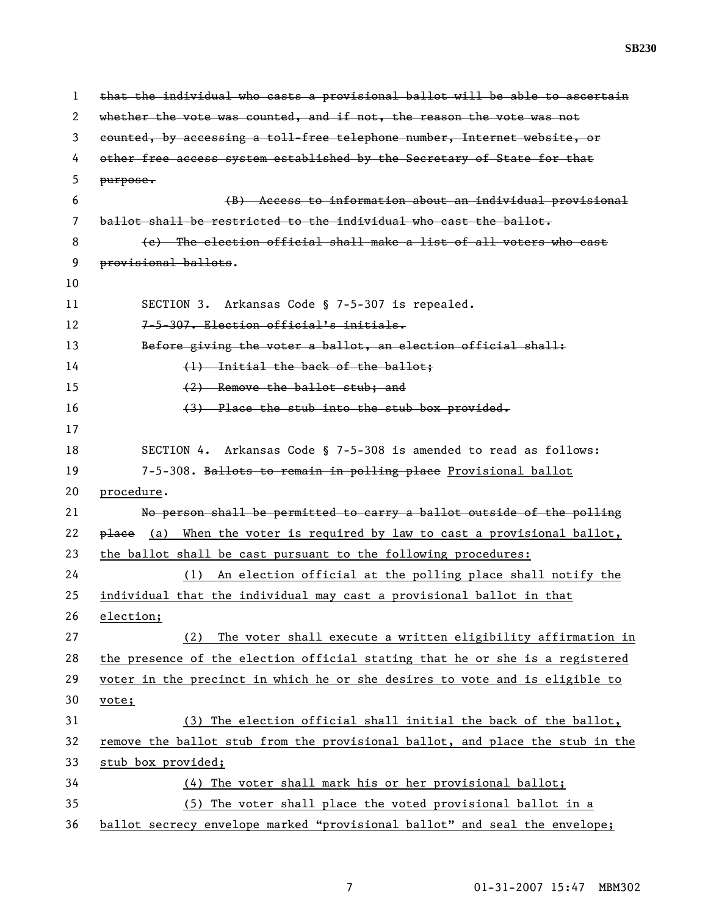**SB230** 

1 that the individual who casts a provisional ballot will be able to ascertain 2 whether the vote was counted, and if not, the reason the vote was not 3 counted, by accessing a toll-free telephone number, Internet website, or 4 other free access system established by the Secretary of State for that 5 purpose. 6 (B) Access to information about an individual provisional 7 ballot shall be restricted to the individual who cast the ballot. 8 (c) The election official shall make a list of all voters who cast 9 provisional ballots. 10 11 SECTION 3. Arkansas Code § 7-5-307 is repealed. 12 7-5-307. Election official's initials. 13 Before giving the voter a ballot, an election official shall: 14 (1) Initial the back of the ballot: 15 (2) Remove the ballot stub; and 16 (3) Place the stub into the stub box provided. 17 18 SECTION 4. Arkansas Code § 7-5-308 is amended to read as follows: 19 7-5-308. Ballots to remain in polling place Provisional ballot 20 procedure. 21 No person shall be permitted to carry a ballot outside of the polling 22  $p$ lace (a) When the voter is required by law to cast a provisional ballot, 23 the ballot shall be cast pursuant to the following procedures: 24 (1) An election official at the polling place shall notify the 25 individual that the individual may cast a provisional ballot in that 26 election; 27 (2) The voter shall execute a written eligibility affirmation in 28 the presence of the election official stating that he or she is a registered 29 voter in the precinct in which he or she desires to vote and is eligible to 30 vote; 31 (3) The election official shall initial the back of the ballot, 32 remove the ballot stub from the provisional ballot, and place the stub in the 33 stub box provided; 34 (4) The voter shall mark his or her provisional ballot; 35 (5) The voter shall place the voted provisional ballot in a 36 ballot secrecy envelope marked "provisional ballot" and seal the envelope;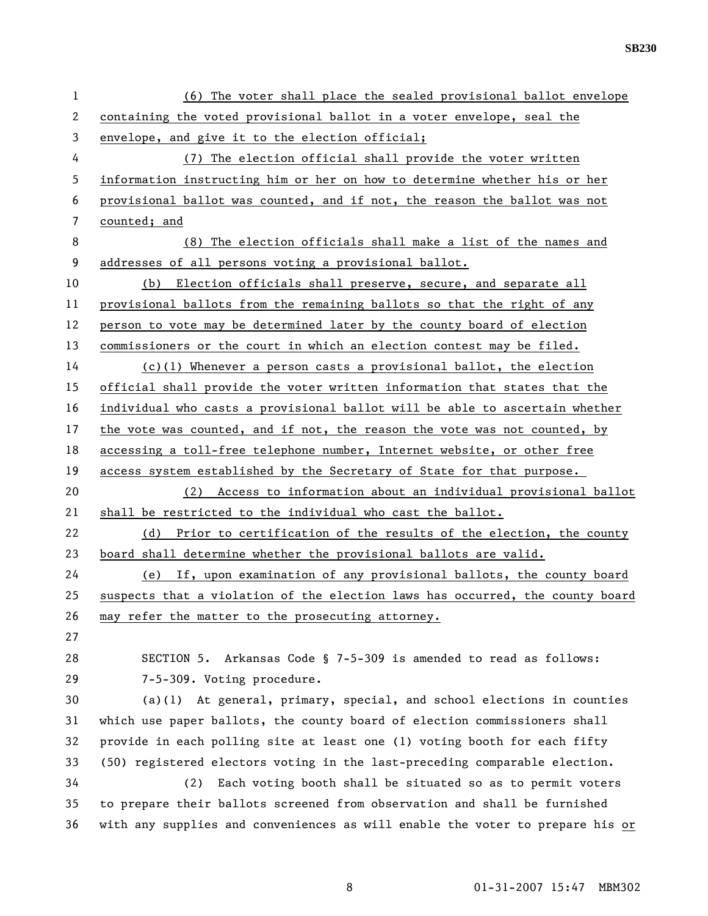| $\mathbf{1}$ | (6) The voter shall place the sealed provisional ballot envelope              |
|--------------|-------------------------------------------------------------------------------|
| 2            | containing the voted provisional ballot in a voter envelope, seal the         |
| 3            | envelope, and give it to the election official;                               |
| 4            | (7) The election official shall provide the voter written                     |
| 5            | information instructing him or her on how to determine whether his or her     |
| 6            | provisional ballot was counted, and if not, the reason the ballot was not     |
| 7            | counted; and                                                                  |
| 8            | (8) The election officials shall make a list of the names and                 |
| 9            | addresses of all persons voting a provisional ballot.                         |
| 10           | Election officials shall preserve, secure, and separate all<br>(b)            |
| 11           | provisional ballots from the remaining ballots so that the right of any       |
| 12           | person to vote may be determined later by the county board of election        |
| 13           | commissioners or the court in which an election contest may be filed.         |
| 14           | $(c)(1)$ Whenever a person casts a provisional ballot, the election           |
| 15           | official shall provide the voter written information that states that the     |
| 16           | individual who casts a provisional ballot will be able to ascertain whether   |
| 17           | the vote was counted, and if not, the reason the vote was not counted, by     |
| 18           | accessing a toll-free telephone number, Internet website, or other free       |
| 19           | access system established by the Secretary of State for that purpose.         |
| 20           | (2) Access to information about an individual provisional ballot              |
| 21           | shall be restricted to the individual who cast the ballot.                    |
| 22           | (d) Prior to certification of the results of the election, the county         |
| 23           | board shall determine whether the provisional ballots are valid.              |
| 24           | (e) If, upon examination of any provisional ballots, the county board         |
| 25           | suspects that a violation of the election laws has occurred, the county board |
| 26           | may refer the matter to the prosecuting attorney.                             |
| 27           |                                                                               |
| 28           | SECTION 5. Arkansas Code § 7-5-309 is amended to read as follows:             |
| 29           | 7-5-309. Voting procedure.                                                    |
| 30           | $(a)(1)$ At general, primary, special, and school elections in counties       |
| 31           | which use paper ballots, the county board of election commissioners shall     |
| 32           | provide in each polling site at least one (1) voting booth for each fifty     |
| 33           | (50) registered electors voting in the last-preceding comparable election.    |
| 34           | Each voting booth shall be situated so as to permit voters<br>(2)             |
| 35           | to prepare their ballots screened from observation and shall be furnished     |
| 36           | with any supplies and conveniences as will enable the voter to prepare his or |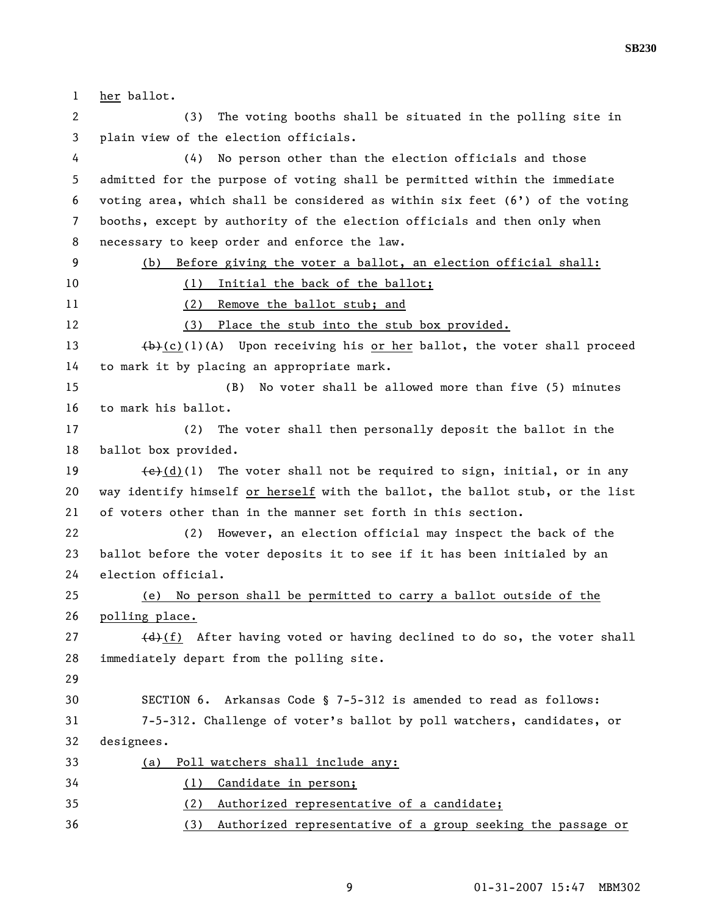1 her ballot. 2 (3) The voting booths shall be situated in the polling site in 3 plain view of the election officials. 4 (4) No person other than the election officials and those 5 admitted for the purpose of voting shall be permitted within the immediate 6 voting area, which shall be considered as within six feet  $(6')$  of the voting 7 booths, except by authority of the election officials and then only when 8 necessary to keep order and enforce the law. 9 (b) Before giving the voter a ballot, an election official shall: 10 (1) Initial the back of the ballot; 11 (2) Remove the ballot stub; and 12 (3) Place the stub into the stub box provided. 13  $(b)-(c)(1)(A)$  Upon receiving his or her ballot, the voter shall proceed 14 to mark it by placing an appropriate mark. 15 (B) No voter shall be allowed more than five (5) minutes 16 to mark his ballot. 17 (2) The voter shall then personally deposit the ballot in the 18 ballot box provided. 19  $\left(\frac{e}{d}\right)(1)$  The voter shall not be required to sign, initial, or in any 20 way identify himself or herself with the ballot, the ballot stub, or the list 21 of voters other than in the manner set forth in this section. 22 (2) However, an election official may inspect the back of the 23 ballot before the voter deposits it to see if it has been initialed by an 24 election official. 25 (e) No person shall be permitted to carry a ballot outside of the 26 polling place. 27  $(d)$  (d) After having voted or having declined to do so, the voter shall 28 immediately depart from the polling site. 29 30 SECTION 6. Arkansas Code § 7-5-312 is amended to read as follows: 31 7-5-312. Challenge of voter's ballot by poll watchers, candidates, or 32 designees. 33 (a) Poll watchers shall include any: 34 (1) Candidate in person; 35 (2) Authorized representative of a candidate; 36 (3) Authorized representative of a group seeking the passage or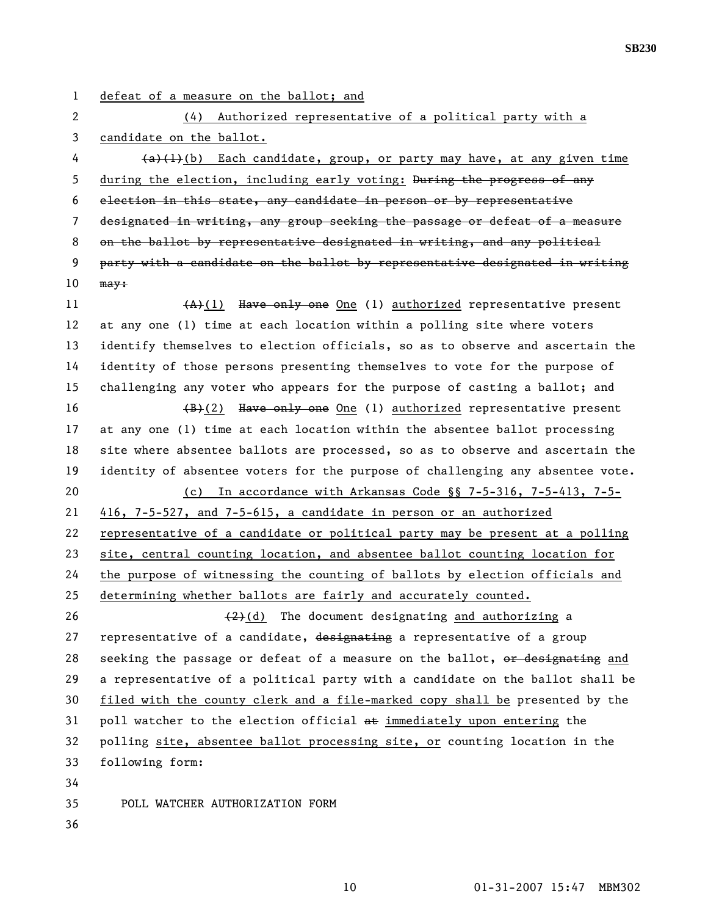- 
- 1 defeat of a measure on the ballot; and

2 (4) Authorized representative of a political party with a 3 candidate on the ballot.

 $4 \left(4\right)^{4}(b)$  Each candidate, group, or party may have, at any given time 5 during the election, including early voting: During the progress of any 6 election in this state, any candidate in person or by representative 7 designated in writing, any group seeking the passage or defeat of a measure 8 on the ballot by representative designated in writing, and any political 9 party with a candidate on the ballot by representative designated in writing 10 may:

11  $(A)+(1)$  Have only one One (1) authorized representative present 12 at any one (1) time at each location within a polling site where voters 13 identify themselves to election officials, so as to observe and ascertain the 14 identity of those persons presenting themselves to vote for the purpose of 15 challenging any voter who appears for the purpose of casting a ballot; and

16  $\left(\frac{B}{B}\right)(2)$  Have only one 0ne (1) authorized representative present 17 at any one (1) time at each location within the absentee ballot processing 18 site where absentee ballots are processed, so as to observe and ascertain the 19 identity of absentee voters for the purpose of challenging any absentee vote. 20 (c) In accordance with Arkansas Code §§ 7-5-316, 7-5-413, 7-5- 21 416, 7-5-527, and 7-5-615, a candidate in person or an authorized 22 representative of a candidate or political party may be present at a polling 23 site, central counting location, and absentee ballot counting location for 24 the purpose of witnessing the counting of ballots by election officials and 25 determining whether ballots are fairly and accurately counted.

26  $(2)$ (d) The document designating and authorizing a 27 representative of a candidate, designating a representative of a group 28 seeking the passage or defeat of a measure on the ballot, or designating and 29 a representative of a political party with a candidate on the ballot shall be 30 filed with the county clerk and a file-marked copy shall be presented by the 31 poll watcher to the election official  $a\text{E}$  immediately upon entering the 32 polling site, absentee ballot processing site, or counting location in the 33 following form: 34

35 POLL WATCHER AUTHORIZATION FORM

36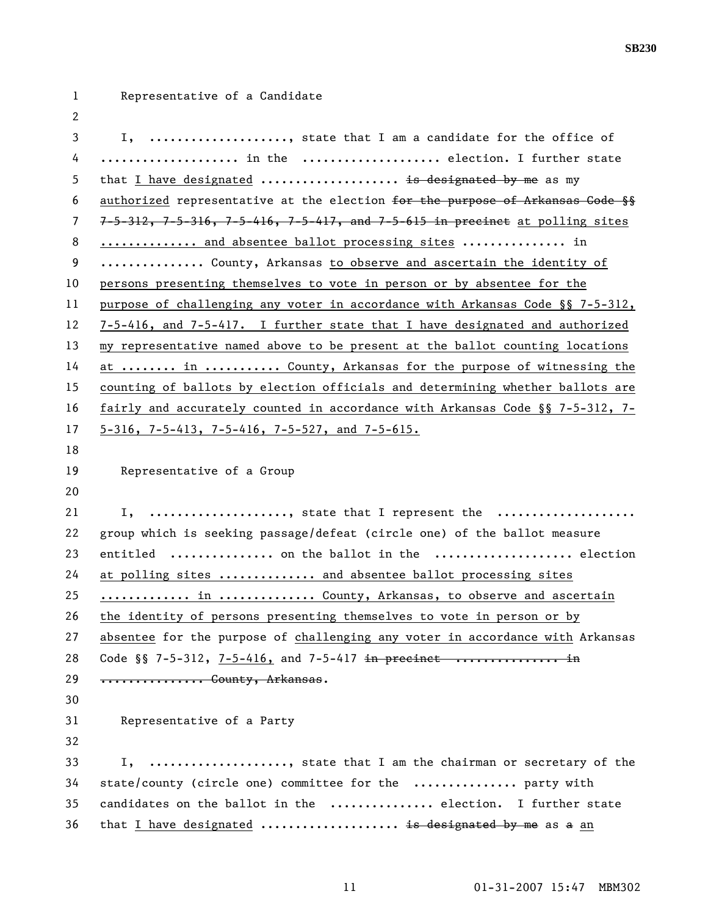| $\mathbf{1}$ | Representative of a Candidate                                                              |
|--------------|--------------------------------------------------------------------------------------------|
| 2            |                                                                                            |
| 3            | I, , state that I am a candidate for the office of                                         |
| 4            | in the  election. I further state                                                          |
| 5            | that I have designated  is designated by me as my                                          |
| 6            | authorized representative at the election for the purpose of Arkansas Gode §§              |
| 7            | $7-5-312$ , $7-5-316$ , $7-5-416$ , $7-5-417$ , and $7-5-615$ in precinet at polling sites |
| 8            | and absentee ballot processing sites  in                                                   |
| 9            | County, Arkansas to observe and ascertain the identity of                                  |
| 10           | persons presenting themselves to vote in person or by absentee for the                     |
| 11           | purpose of challenging any voter in accordance with Arkansas Code §§ 7-5-312,              |
| 12           | 7-5-416, and 7-5-417. I further state that I have designated and authorized                |
| 13           | my representative named above to be present at the ballot counting locations               |
| 14           | at  in  County, Arkansas for the purpose of witnessing the                                 |
| 15           | counting of ballots by election officials and determining whether ballots are              |
| 16           | fairly and accurately counted in accordance with Arkansas Code §§ 7-5-312, 7-              |
| 17           | $5-316$ , 7-5-413, 7-5-416, 7-5-527, and 7-5-615.                                          |
| 18           |                                                                                            |
| 19           | Representative of a Group                                                                  |
| 20           |                                                                                            |
| 21           | I, , state that I represent the                                                            |
| 22           | group which is seeking passage/defeat (circle one) of the ballot measure                   |
| 23           | entitled  on the ballot in the  election                                                   |
| 24           | at polling sites  and absentee ballot processing sites                                     |
| 25           | in  County, Arkansas, to observe and ascertain                                             |
| 26           | the identity of persons presenting themselves to vote in person or by                      |
| 27           | absentee for the purpose of challenging any voter in accordance with Arkansas              |
| 28           | Code §§ 7-5-312, 7-5-416, and 7-5-417 in precinct  in                                      |
| 29           | County, Arkansas.                                                                          |
| 30           |                                                                                            |
| 31           | Representative of a Party                                                                  |
| 32           |                                                                                            |
| 33           | , state that I am the chairman or secretary of the<br>Ι,                                   |
| 34           | state/county (circle one) committee for the  party with                                    |
| 35           | candidates on the ballot in the  election. I further state                                 |
| 36           | that I have designated  is designated by me as a an                                        |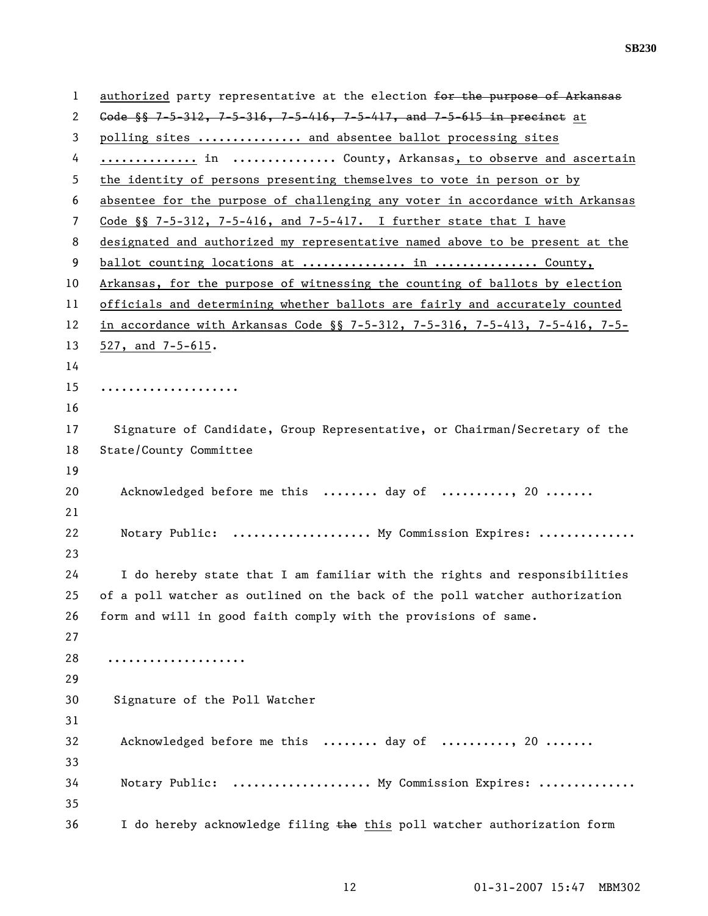| 1              | authorized party representative at the election for the purpose of Arkansas       |
|----------------|-----------------------------------------------------------------------------------|
| 2              | Gode $\frac{1}{3}$ 7-5-312, 7-5-316, 7-5-416, 7-5-417, and 7-5-615 in precinct at |
| 3              | polling sites  and absentee ballot processing sites                               |
| 4              | in  County, Arkansas, to observe and ascertain                                    |
| 5              | the identity of persons presenting themselves to vote in person or by             |
| 6              | absentee for the purpose of challenging any voter in accordance with Arkansas     |
| $\overline{7}$ | Code $\S$ 7-5-312, 7-5-416, and 7-5-417. I further state that I have              |
| 8              | designated and authorized my representative named above to be present at the      |
| 9              | ballot counting locations at  in  County,                                         |
| 10             | Arkansas, for the purpose of witnessing the counting of ballots by election       |
| 11             | officials and determining whether ballots are fairly and accurately counted       |
| 12             | in accordance with Arkansas Code §§ 7-5-312, 7-5-316, 7-5-413, 7-5-416, 7-5-      |
| 13             | $527$ , and $7-5-615$ .                                                           |
| 14             |                                                                                   |
| 15             | .                                                                                 |
| 16             |                                                                                   |
| 17             | Signature of Candidate, Group Representative, or Chairman/Secretary of the        |
| 18             | State/County Committee                                                            |
| 19             |                                                                                   |
| 20             | Acknowledged before me this  day of , 20                                          |
| 21             |                                                                                   |
| 22             | Notary Public:  My Commission Expires:                                            |
| 23             |                                                                                   |
| 24             | I do hereby state that I am familiar with the rights and responsibilities         |
| 25             | of a poll watcher as outlined on the back of the poll watcher authorization       |
| 26             | form and will in good faith comply with the provisions of same.                   |
| 27             |                                                                                   |
| 28             |                                                                                   |
| 29             |                                                                                   |
| 30             | Signature of the Poll Watcher                                                     |
| 31             |                                                                                   |
| 32             | Acknowledged before me this  day of , 20                                          |
| 33             |                                                                                   |
| 34             | Notary Public:  My Commission Expires:                                            |
| 35             |                                                                                   |
| 36             | I do hereby acknowledge filing the this poll watcher authorization form           |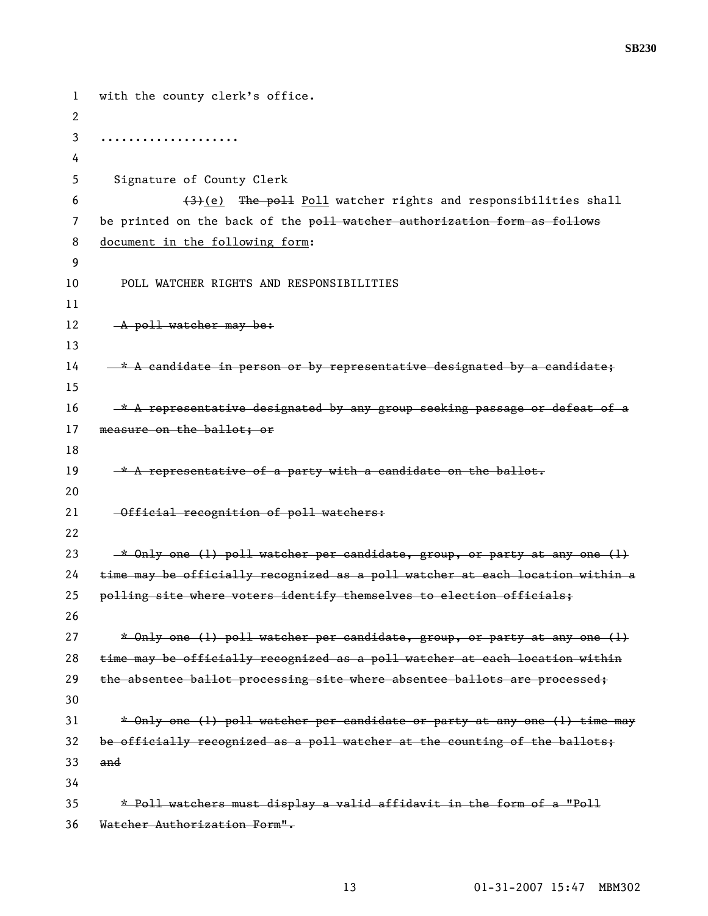1 with the county clerk's office. 2 3 .................... 4 5 Signature of County Clerk 6  $(3)$  (e) The poll Poll watcher rights and responsibilities shall 7 be printed on the back of the poll watcher authorization form as follows 8 document in the following form: 9 10 POLL WATCHER RIGHTS AND RESPONSIBILITIES 11 12 **A poll watcher may be:** 13  $14 - * A$  candidate in person or by representative designated by a candidate; 15  $16 \t-\star A$  representative designated by any group seeking passage or defeat of a 17 measure on the ballot; or 18 19  $\rightarrow$  A representative of a party with a candidate on the ballot. 20 21 Official recognition of poll watchers: 22 23  $*$  Only one (1) poll watcher per candidate, group, or party at any one (1) 24 time may be officially recognized as a poll watcher at each location within a 25 polling site where voters identify themselves to election officials; 26 27  $*$  Only one (1) poll watcher per candidate, group, or party at any one (1) 28 time may be officially recognized as a poll watcher at each location within 29 the absentee ballot processing site where absentee ballots are processed; 30  $31$  \* Only one (1) poll watcher per candidate or party at any one (1) time may 32 be officially recognized as a poll watcher at the counting of the ballots; 33 and 34 35 \* Poll watchers must display a valid affidavit in the form of a "Poll 36 Watcher Authorization Form".

**SB230**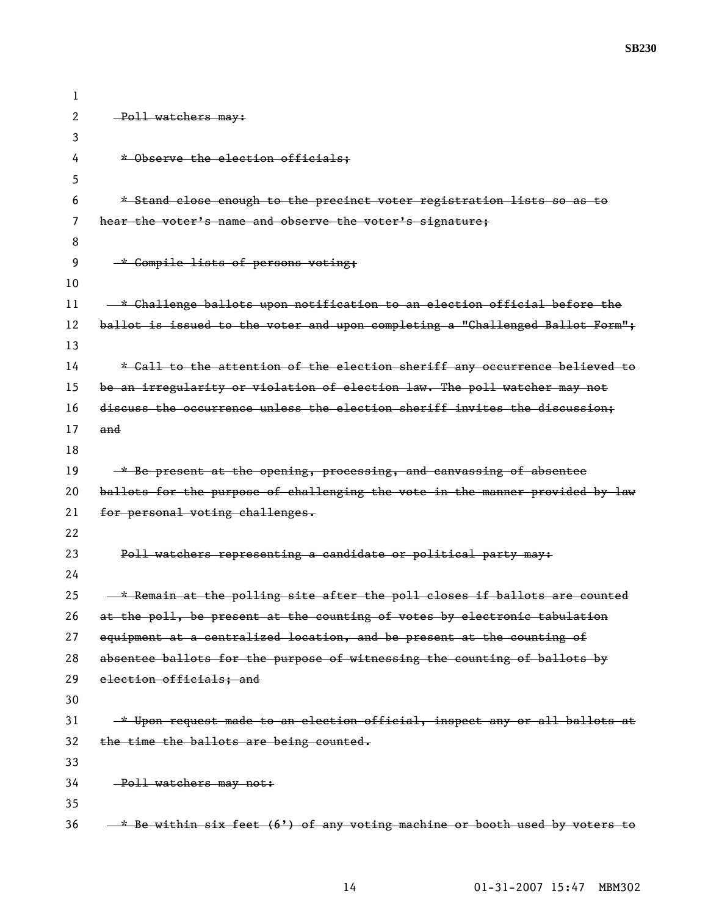| 1  |                                                                                  |
|----|----------------------------------------------------------------------------------|
| 2  | -Poll watchers may:                                                              |
| 3  |                                                                                  |
| 4  | * Observe the election officials:                                                |
| 5  |                                                                                  |
| 6  | * Stand close enough to the precinct voter registration lists so as to           |
| 7  | hear the voter's name and observe the voter's signature;                         |
| 8  |                                                                                  |
| 9  | * Compile lists of persons voting;                                               |
| 10 |                                                                                  |
| 11 | * Challenge ballots upon notification to an election official before the         |
| 12 | ballot is issued to the voter and upon completing a "Challenged Ballot Form";    |
| 13 |                                                                                  |
| 14 | * Call to the attention of the election sheriff any occurrence believed to       |
| 15 | be an irregularity or violation of election law. The poll watcher may not        |
| 16 | discuss the occurrence unless the election sheriff invites the discussion;       |
| 17 | and                                                                              |
| 18 |                                                                                  |
| 19 | * Be present at the opening, processing, and canvassing of absentee              |
| 20 | ballots for the purpose of challenging the vote in the manner provided by law    |
| 21 | for personal voting challenges.                                                  |
| 22 |                                                                                  |
| 23 | Poll watchers representing a candidate or political party may:                   |
| 24 |                                                                                  |
| 25 | <u>* Remain at the polling site after the poll closes if ballots are counted</u> |
| 26 | at the poll, be present at the counting of votes by electronic tabulation        |
| 27 | equipment at a centralized location, and be present at the counting of           |
| 28 | absentee ballots for the purpose of witnessing the counting of ballots by        |
| 29 | election officials; and                                                          |
| 30 |                                                                                  |
| 31 | * Upon request made to an election official, inspect any or all ballots at       |
| 32 | the time the ballots are being counted.                                          |
| 33 |                                                                                  |
| 34 | -Poll watchers may not:                                                          |
| 35 |                                                                                  |
| 36 | -* Be within six feet (6') of any voting machine or booth used by voters to      |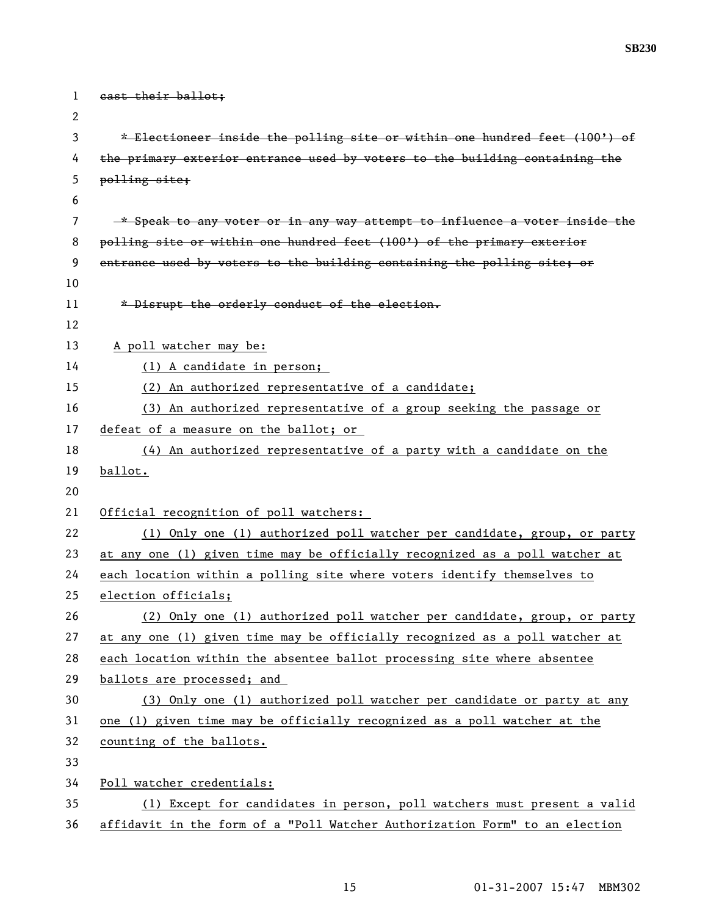| 1  | east their ballot;                                                          |
|----|-----------------------------------------------------------------------------|
| 2  |                                                                             |
| 3  | * Electioneer inside the polling site or within one hundred feet (100') of  |
| 4  | the primary exterior entrance used by voters to the building containing the |
| 5  | polling site;                                                               |
| 6  |                                                                             |
| 7  | -* Speak to any voter or in any way attempt to influence a voter inside the |
| 8  | polling site or within one hundred feet (100') of the primary exterior      |
| 9  | entrance used by voters to the building containing the polling site; or     |
| 10 |                                                                             |
| 11 | * Disrupt the orderly conduct of the election.                              |
| 12 |                                                                             |
| 13 | A poll watcher may be:                                                      |
| 14 | (1) A candidate in person;                                                  |
| 15 | (2) An authorized representative of a candidate;                            |
| 16 | (3) An authorized representative of a group seeking the passage or          |
| 17 | defeat of a measure on the ballot; or                                       |
| 18 | $(4)$ An authorized representative of a party with a candidate on the       |
| 19 | ballot.                                                                     |
| 20 |                                                                             |
| 21 | Official recognition of poll watchers:                                      |
| 22 | (1) Only one (1) authorized poll watcher per candidate, group, or party     |
| 23 | at any one (1) given time may be officially recognized as a poll watcher at |
| 24 | each location within a polling site where voters identify themselves to     |
| 25 | election officials;                                                         |
| 26 | (2) Only one (1) authorized poll watcher per candidate, group, or party     |
| 27 | at any one (1) given time may be officially recognized as a poll watcher at |
| 28 | each location within the absentee ballot processing site where absentee     |
| 29 | ballots are processed; and                                                  |
| 30 | (3) Only one (1) authorized poll watcher per candidate or party at any      |
| 31 | one (1) given time may be officially recognized as a poll watcher at the    |
| 32 | counting of the ballots.                                                    |
| 33 |                                                                             |
| 34 | Poll watcher credentials:                                                   |
| 35 | (1) Except for candidates in person, poll watchers must present a valid     |
| 36 | affidavit in the form of a "Poll Watcher Authorization Form" to an election |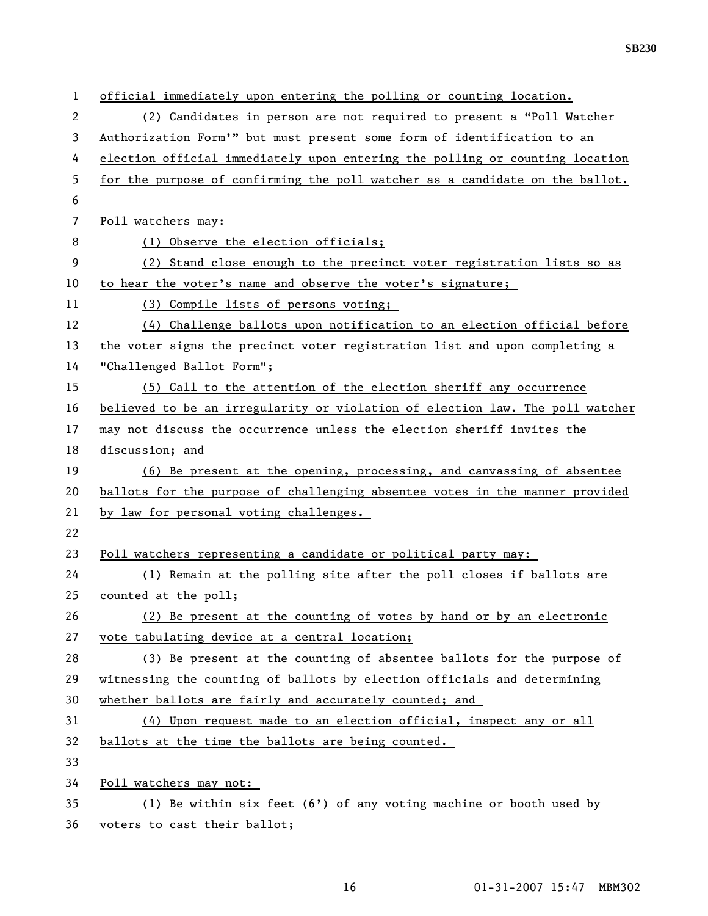| 1  | official immediately upon entering the polling or counting location.          |
|----|-------------------------------------------------------------------------------|
| 2  | (2) Candidates in person are not required to present a "Poll Watcher          |
| 3  | Authorization Form'" but must present some form of identification to an       |
| 4  | election official immediately upon entering the polling or counting location  |
| 5  | for the purpose of confirming the poll watcher as a candidate on the ballot.  |
| 6  |                                                                               |
| 7  | Poll watchers may:                                                            |
| 8  | (1) Observe the election officials;                                           |
| 9  | (2) Stand close enough to the precinct voter registration lists so as         |
| 10 | to hear the voter's name and observe the voter's signature;                   |
| 11 | (3) Compile lists of persons voting;                                          |
| 12 | (4) Challenge ballots upon notification to an election official before        |
| 13 | the voter signs the precinct voter registration list and upon completing a    |
| 14 | "Challenged Ballot Form";                                                     |
| 15 | (5) Call to the attention of the election sheriff any occurrence              |
| 16 | believed to be an irregularity or violation of election law. The poll watcher |
| 17 | may not discuss the occurrence unless the election sheriff invites the        |
| 18 | discussion; and                                                               |
| 19 | (6) Be present at the opening, processing, and canvassing of absentee         |
| 20 | ballots for the purpose of challenging absentee votes in the manner provided  |
| 21 | by law for personal voting challenges.                                        |
| 22 |                                                                               |
| 23 | Poll watchers representing a candidate or political party may:                |
| 24 | (1) Remain at the polling site after the poll closes if ballots are           |
| 25 | counted at the poll;                                                          |
| 26 | (2) Be present at the counting of votes by hand or by an electronic           |
| 27 | vote tabulating device at a central location;                                 |
| 28 | (3) Be present at the counting of absentee ballots for the purpose of         |
| 29 | witnessing the counting of ballots by election officials and determining      |
| 30 | whether ballots are fairly and accurately counted; and                        |
| 31 | (4) Upon request made to an election official, inspect any or all             |
| 32 | ballots at the time the ballots are being counted.                            |
| 33 |                                                                               |
| 34 | Poll watchers may not:                                                        |
| 35 | (1) Be within six feet $(6')$ of any voting machine or booth used by          |
| 36 | voters to cast their ballot;                                                  |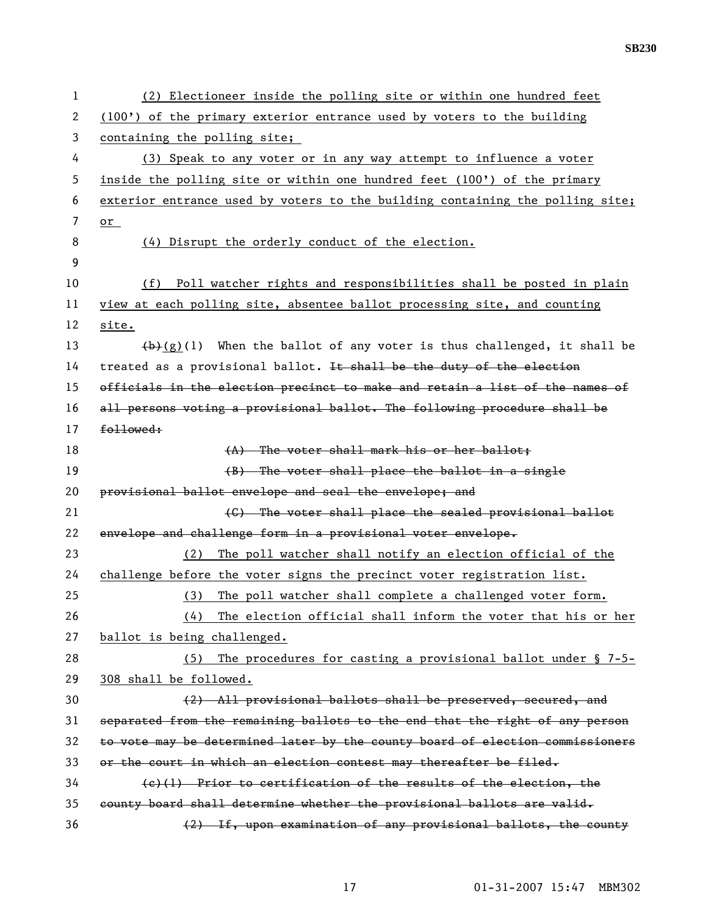| 1  | (2) Electioneer inside the polling site or within one hundred feet            |
|----|-------------------------------------------------------------------------------|
| 2  | (100') of the primary exterior entrance used by voters to the building        |
| 3  | containing the polling site;                                                  |
| 4  | (3) Speak to any voter or in any way attempt to influence a voter             |
| 5  | inside the polling site or within one hundred feet (100') of the primary      |
| 6  | exterior entrance used by voters to the building containing the polling site; |
| 7  | or                                                                            |
| 8  | (4) Disrupt the orderly conduct of the election.                              |
| 9  |                                                                               |
| 10 | (f) Poll watcher rights and responsibilities shall be posted in plain         |
| 11 | view at each polling site, absentee ballot processing site, and counting      |
| 12 | site.                                                                         |
| 13 | $(b)$ (g)(l) When the ballot of any voter is thus challenged, it shall be     |
| 14 | treated as a provisional ballot. It shall be the duty of the election         |
| 15 | officials in the election precinct to make and retain a list of the names of  |
| 16 | all persons voting a provisional ballot. The following procedure shall be     |
| 17 | followed:                                                                     |
| 18 | (A) The voter shall mark his or her ballot:                                   |
| 19 | (B) The voter shall place the ballot in a single                              |
| 20 | provisional ballot envelope and seal the envelope; and                        |
| 21 | (C) The voter shall place the sealed provisional ballot                       |
| 22 | envelope and challenge form in a provisional voter envelope.                  |
| 23 | The poll watcher shall notify an election official of the<br>(2)              |
| 24 | challenge before the voter signs the precinct voter registration list.        |
| 25 | The poll watcher shall complete a challenged voter form.<br>(3)               |
| 26 | The election official shall inform the voter that his or her<br>(4)           |
| 27 | ballot is being challenged.                                                   |
| 28 | The procedures for casting a provisional ballot under $\S$ 7-5-<br>(5)        |
| 29 | 308 shall be followed.                                                        |
| 30 | (2) All provisional ballots shall be preserved, secured, and                  |
| 31 | separated from the remaining ballots to the end that the right of any person  |
| 32 | to vote may be determined later by the county board of election commissioners |
| 33 | or the court in which an election contest may thereafter be filed.            |
| 34 | $(e)(1)$ Prior to certification of the results of the election, the           |
| 35 | county board shall determine whether the provisional ballots are valid.       |
| 36 | (2) If, upon examination of any provisional ballots, the county               |